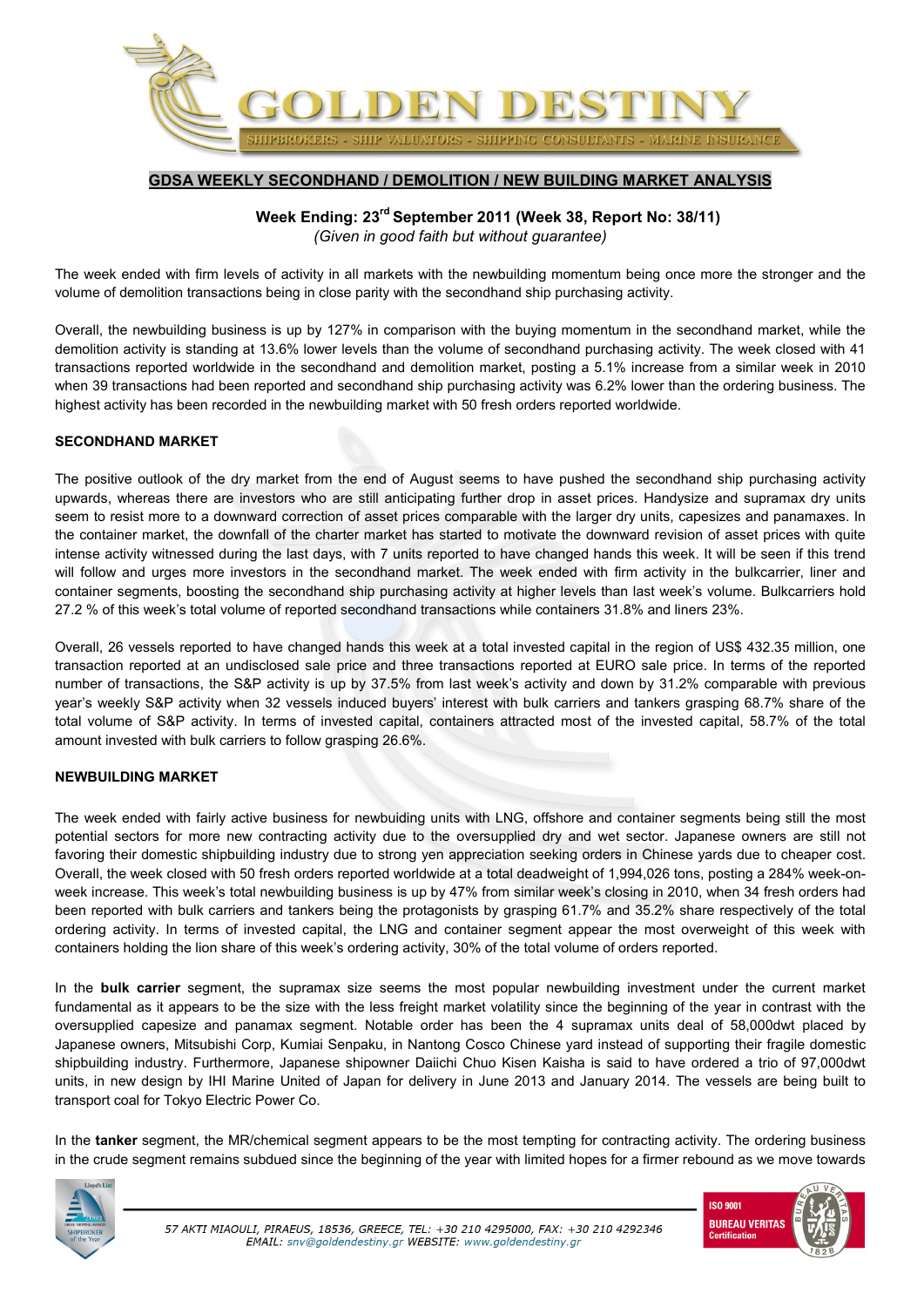

## **GDSA WEEKLY SECONDHAND / DEMOLITION / NEW BUILDING MARKET ANALYSIS**

**Week Ending: 23rd September 2011 (Week 38, Report No: 38/11)**  *(Given in good faith but without guarantee)* 

The week ended with firm levels of activity in all markets with the newbuilding momentum being once more the stronger and the volume of demolition transactions being in close parity with the secondhand ship purchasing activity.

Overall, the newbuilding business is up by 127% in comparison with the buying momentum in the secondhand market, while the demolition activity is standing at 13.6% lower levels than the volume of secondhand purchasing activity. The week closed with 41 transactions reported worldwide in the secondhand and demolition market, posting a 5.1% increase from a similar week in 2010 when 39 transactions had been reported and secondhand ship purchasing activity was 6.2% lower than the ordering business. The highest activity has been recorded in the newbuilding market with 50 fresh orders reported worldwide.

## **SECONDHAND MARKET**

The positive outlook of the dry market from the end of August seems to have pushed the secondhand ship purchasing activity upwards, whereas there are investors who are still anticipating further drop in asset prices. Handysize and supramax dry units seem to resist more to a downward correction of asset prices comparable with the larger dry units, capesizes and panamaxes. In the container market, the downfall of the charter market has started to motivate the downward revision of asset prices with quite intense activity witnessed during the last days, with 7 units reported to have changed hands this week. It will be seen if this trend will follow and urges more investors in the secondhand market. The week ended with firm activity in the bulkcarrier, liner and container segments, boosting the secondhand ship purchasing activity at higher levels than last week's volume. Bulkcarriers hold 27.2 % of this week's total volume of reported secondhand transactions while containers 31.8% and liners 23%.

Overall, 26 vessels reported to have changed hands this week at a total invested capital in the region of US\$ 432.35 million, one transaction reported at an undisclosed sale price and three transactions reported at EURO sale price. In terms of the reported number of transactions, the S&P activity is up by 37.5% from last week's activity and down by 31.2% comparable with previous year's weekly S&P activity when 32 vessels induced buyers' interest with bulk carriers and tankers grasping 68.7% share of the total volume of S&P activity. In terms of invested capital, containers attracted most of the invested capital, 58.7% of the total amount invested with bulk carriers to follow grasping 26.6%.

## **NEWBUILDING MARKET**

The week ended with fairly active business for newbuiding units with LNG, offshore and container segments being still the most potential sectors for more new contracting activity due to the oversupplied dry and wet sector. Japanese owners are still not favoring their domestic shipbuilding industry due to strong yen appreciation seeking orders in Chinese yards due to cheaper cost. Overall, the week closed with 50 fresh orders reported worldwide at a total deadweight of 1,994,026 tons, posting a 284% week-onweek increase. This week's total newbuilding business is up by 47% from similar week's closing in 2010, when 34 fresh orders had been reported with bulk carriers and tankers being the protagonists by grasping 61.7% and 35.2% share respectively of the total ordering activity. In terms of invested capital, the LNG and container segment appear the most overweight of this week with containers holding the lion share of this week's ordering activity, 30% of the total volume of orders reported.

In the **bulk carrier** segment, the supramax size seems the most popular newbuilding investment under the current market fundamental as it appears to be the size with the less freight market volatility since the beginning of the year in contrast with the oversupplied capesize and panamax segment. Notable order has been the 4 supramax units deal of 58,000dwt placed by Japanese owners, Mitsubishi Corp, Kumiai Senpaku, in Nantong Cosco Chinese yard instead of supporting their fragile domestic shipbuilding industry. Furthermore, Japanese shipowner Daiichi Chuo Kisen Kaisha is said to have ordered a trio of 97,000dwt units, in new design by IHI Marine United of Japan for delivery in June 2013 and January 2014. The vessels are being built to transport coal for Tokyo Electric Power Co.

In the **tanker** segment, the MR/chemical segment appears to be the most tempting for contracting activity. The ordering business in the crude segment remains subdued since the beginning of the year with limited hopes for a firmer rebound as we move towards